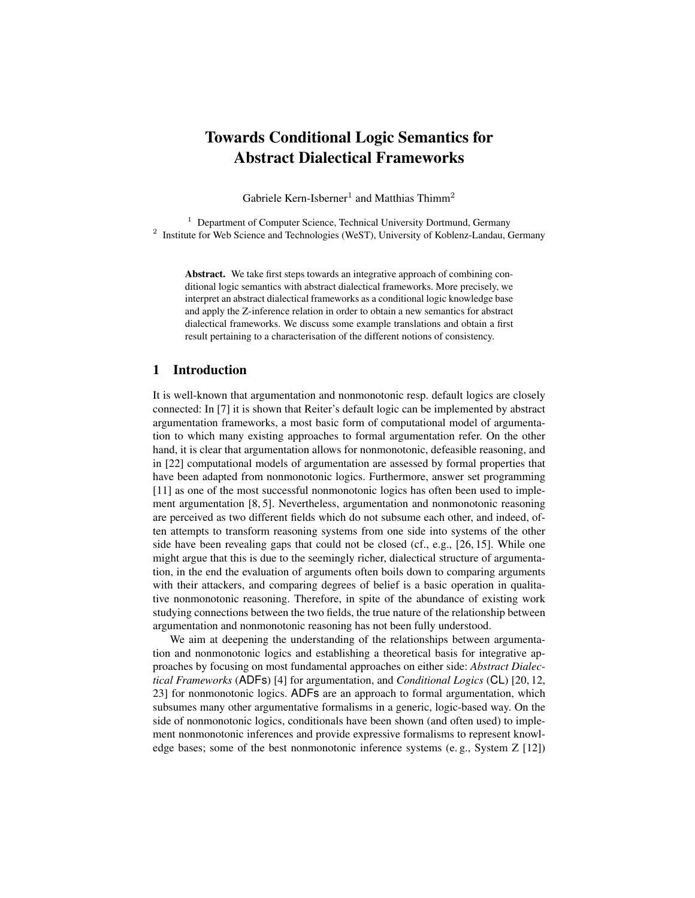# Towards Conditional Logic Semantics for Abstract Dialectical Frameworks

Gabriele Kern-Isberner<sup>1</sup> and Matthias Thimm<sup>2</sup>

<sup>1</sup> Department of Computer Science, Technical University Dortmund, Germany <sup>2</sup> Institute for Web Science and Technologies (WeST), University of Koblenz-Landau, Germany

Abstract. We take first steps towards an integrative approach of combining conditional logic semantics with abstract dialectical frameworks. More precisely, we interpret an abstract dialectical frameworks as a conditional logic knowledge base and apply the Z-inference relation in order to obtain a new semantics for abstract dialectical frameworks. We discuss some example translations and obtain a first result pertaining to a characterisation of the different notions of consistency.

# 1 Introduction

It is well-known that argumentation and nonmonotonic resp. default logics are closely connected: In [7] it is shown that Reiter's default logic can be implemented by abstract argumentation frameworks, a most basic form of computational model of argumentation to which many existing approaches to formal argumentation refer. On the other hand, it is clear that argumentation allows for nonmonotonic, defeasible reasoning, and in [22] computational models of argumentation are assessed by formal properties that have been adapted from nonmonotonic logics. Furthermore, answer set programming [11] as one of the most successful nonmonotonic logics has often been used to implement argumentation [8, 5]. Nevertheless, argumentation and nonmonotonic reasoning are perceived as two different fields which do not subsume each other, and indeed, often attempts to transform reasoning systems from one side into systems of the other side have been revealing gaps that could not be closed (cf., e.g., [26, 15]. While one might argue that this is due to the seemingly richer, dialectical structure of argumentation, in the end the evaluation of arguments often boils down to comparing arguments with their attackers, and comparing degrees of belief is a basic operation in qualitative nonmonotonic reasoning. Therefore, in spite of the abundance of existing work studying connections between the two fields, the true nature of the relationship between argumentation and nonmonotonic reasoning has not been fully understood.

We aim at deepening the understanding of the relationships between argumentation and nonmonotonic logics and establishing a theoretical basis for integrative approaches by focusing on most fundamental approaches on either side: *Abstract Dialectical Frameworks* (ADFs) [4] for argumentation, and *Conditional Logics* (CL) [20, 12, 23] for nonmonotonic logics. ADFs are an approach to formal argumentation, which subsumes many other argumentative formalisms in a generic, logic-based way. On the side of nonmonotonic logics, conditionals have been shown (and often used) to implement nonmonotonic inferences and provide expressive formalisms to represent knowledge bases; some of the best nonmonotonic inference systems (e. g., System Z [12])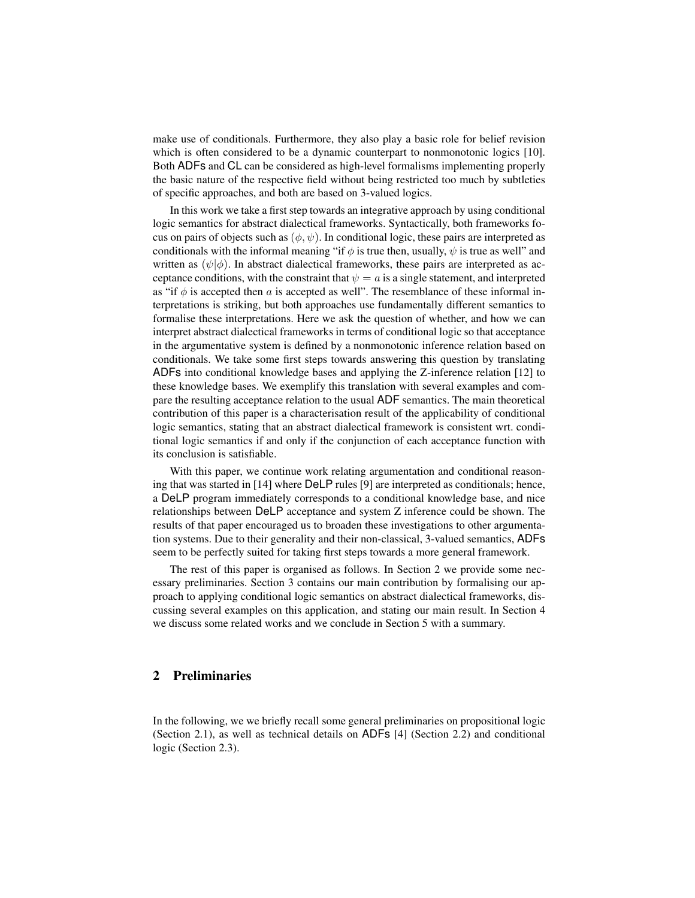make use of conditionals. Furthermore, they also play a basic role for belief revision which is often considered to be a dynamic counterpart to nonmonotonic logics [10]. Both ADFs and CL can be considered as high-level formalisms implementing properly the basic nature of the respective field without being restricted too much by subtleties of specific approaches, and both are based on 3-valued logics.

In this work we take a first step towards an integrative approach by using conditional logic semantics for abstract dialectical frameworks. Syntactically, both frameworks focus on pairs of objects such as  $(\phi, \psi)$ . In conditional logic, these pairs are interpreted as conditionals with the informal meaning "if  $\phi$  is true then, usually,  $\psi$  is true as well" and written as  $(\psi|\phi)$ . In abstract dialectical frameworks, these pairs are interpreted as acceptance conditions, with the constraint that  $\psi = a$  is a single statement, and interpreted as "if  $\phi$  is accepted then a is accepted as well". The resemblance of these informal interpretations is striking, but both approaches use fundamentally different semantics to formalise these interpretations. Here we ask the question of whether, and how we can interpret abstract dialectical frameworks in terms of conditional logic so that acceptance in the argumentative system is defined by a nonmonotonic inference relation based on conditionals. We take some first steps towards answering this question by translating ADFs into conditional knowledge bases and applying the Z-inference relation [12] to these knowledge bases. We exemplify this translation with several examples and compare the resulting acceptance relation to the usual ADF semantics. The main theoretical contribution of this paper is a characterisation result of the applicability of conditional logic semantics, stating that an abstract dialectical framework is consistent wrt. conditional logic semantics if and only if the conjunction of each acceptance function with its conclusion is satisfiable.

With this paper, we continue work relating argumentation and conditional reasoning that was started in [14] where DeLP rules [9] are interpreted as conditionals; hence, a DeLP program immediately corresponds to a conditional knowledge base, and nice relationships between DeLP acceptance and system Z inference could be shown. The results of that paper encouraged us to broaden these investigations to other argumentation systems. Due to their generality and their non-classical, 3-valued semantics, ADFs seem to be perfectly suited for taking first steps towards a more general framework.

The rest of this paper is organised as follows. In Section 2 we provide some necessary preliminaries. Section 3 contains our main contribution by formalising our approach to applying conditional logic semantics on abstract dialectical frameworks, discussing several examples on this application, and stating our main result. In Section 4 we discuss some related works and we conclude in Section 5 with a summary.

# 2 Preliminaries

In the following, we we briefly recall some general preliminaries on propositional logic (Section 2.1), as well as technical details on ADFs [4] (Section 2.2) and conditional logic (Section 2.3).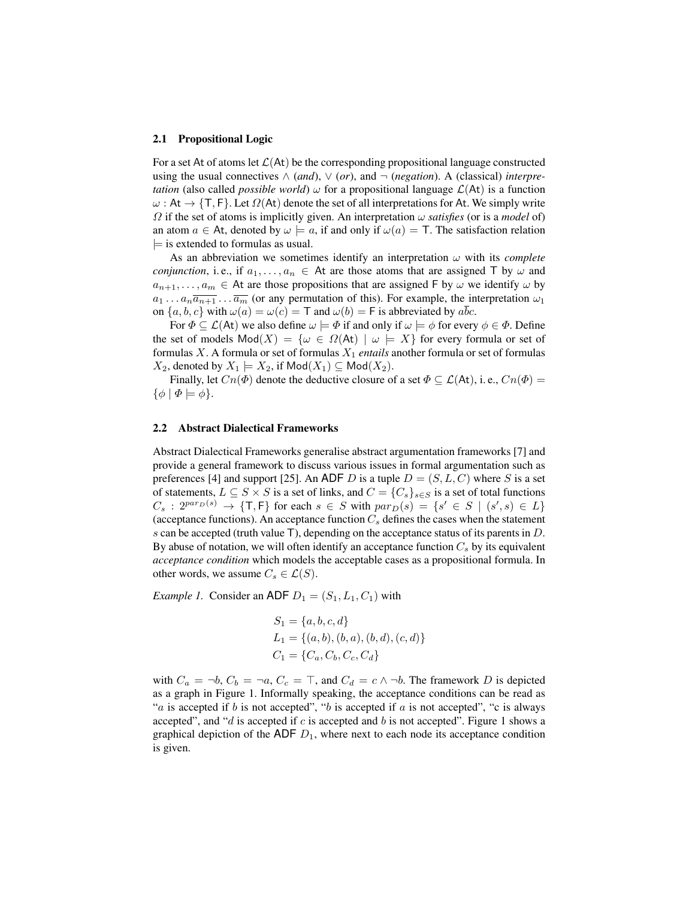#### 2.1 Propositional Logic

For a set At of atoms let  $\mathcal{L}(A_t)$  be the corresponding propositional language constructed using the usual connectives  $\wedge$  (and),  $\vee$  (or), and  $\neg$  (*negation*). A (classical) *interpretation* (also called *possible world*)  $\omega$  for a propositional language  $\mathcal{L}(At)$  is a function  $\omega$ : At  $\rightarrow$  {T, F}. Let  $\Omega$ (At) denote the set of all interpretations for At. We simply write  $\Omega$  if the set of atoms is implicitly given. An interpretation  $\omega$  *satisfies* (or is a *model* of) an atom  $a \in$  At, denoted by  $\omega \models a$ , if and only if  $\omega(a) = T$ . The satisfaction relation  $\models$  is extended to formulas as usual.

As an abbreviation we sometimes identify an interpretation  $\omega$  with its *complete conjunction*, i.e., if  $a_1, \ldots, a_n \in A$ t are those atoms that are assigned T by  $\omega$  and  $a_{n+1}, \ldots, a_m \in A$ t are those propositions that are assigned F by  $\omega$  we identify  $\omega$  by  $a_1 \ldots a_n \overline{a_{n+1}} \ldots \overline{a_m}$  (or any permutation of this). For example, the interpretation  $\omega_1$ on  $\{a, b, c\}$  with  $\omega(a) = \omega(c) = \mathsf{T}$  and  $\omega(b) = \mathsf{F}$  is abbreviated by  $a\overline{bc}$ .

For  $\Phi \subset \mathcal{L}(\mathsf{At})$  we also define  $\omega \models \Phi$  if and only if  $\omega \models \phi$  for every  $\phi \in \Phi$ . Define the set of models  $Mod(X) = {\omega \in \Omega(\mathsf{At}) \mid \omega \models X}$  for every formula or set of formulas  $X$ . A formula or set of formulas  $X_1$  *entails* another formula or set of formulas  $X_2$ , denoted by  $X_1 \models X_2$ , if  $\mathsf{Mod}(X_1) \subseteq \mathsf{Mod}(X_2)$ .

Finally, let  $C_n(\Phi)$  denote the deductive closure of a set  $\Phi \subseteq \mathcal{L}(A_t)$ , i.e.,  $C_n(\Phi)$  =  $\{\phi \mid \Phi \models \phi\}.$ 

### 2.2 Abstract Dialectical Frameworks

Abstract Dialectical Frameworks generalise abstract argumentation frameworks [7] and provide a general framework to discuss various issues in formal argumentation such as preferences [4] and support [25]. An ADF D is a tuple  $D = (S, L, C)$  where S is a set of statements,  $L \subseteq S \times S$  is a set of links, and  $C = \{C_s\}_{s \in S}$  is a set of total functions  $C_s$ :  $2^{par_D(s)} \rightarrow \{\mathsf{T},\mathsf{F}\}\$  for each  $s \in S$  with  $par_D(s) = \{s' \in S \mid (s',s) \in L\}$ (acceptance functions). An acceptance function  $C_s$  defines the cases when the statement s can be accepted (truth value T), depending on the acceptance status of its parents in  $D$ . By abuse of notation, we will often identify an acceptance function  $C_s$  by its equivalent *acceptance condition* which models the acceptable cases as a propositional formula. In other words, we assume  $C_s \in \mathcal{L}(S)$ .

*Example 1.* Consider an ADF  $D_1 = (S_1, L_1, C_1)$  with

$$
S_1 = \{a, b, c, d\}
$$
  
\n
$$
L_1 = \{(a, b), (b, a), (b, d), (c, d)\}
$$
  
\n
$$
C_1 = \{C_a, C_b, C_c, C_d\}
$$

with  $C_a = \neg b$ ,  $C_b = \neg a$ ,  $C_c = \top$ , and  $C_d = c \wedge \neg b$ . The framework D is depicted as a graph in Figure 1. Informally speaking, the acceptance conditions can be read as "a is accepted if b is not accepted", "b is accepted if a is not accepted", "c is always accepted", and "d is accepted if c is accepted and b is not accepted". Figure 1 shows a graphical depiction of the ADF  $D_1$ , where next to each node its acceptance condition is given.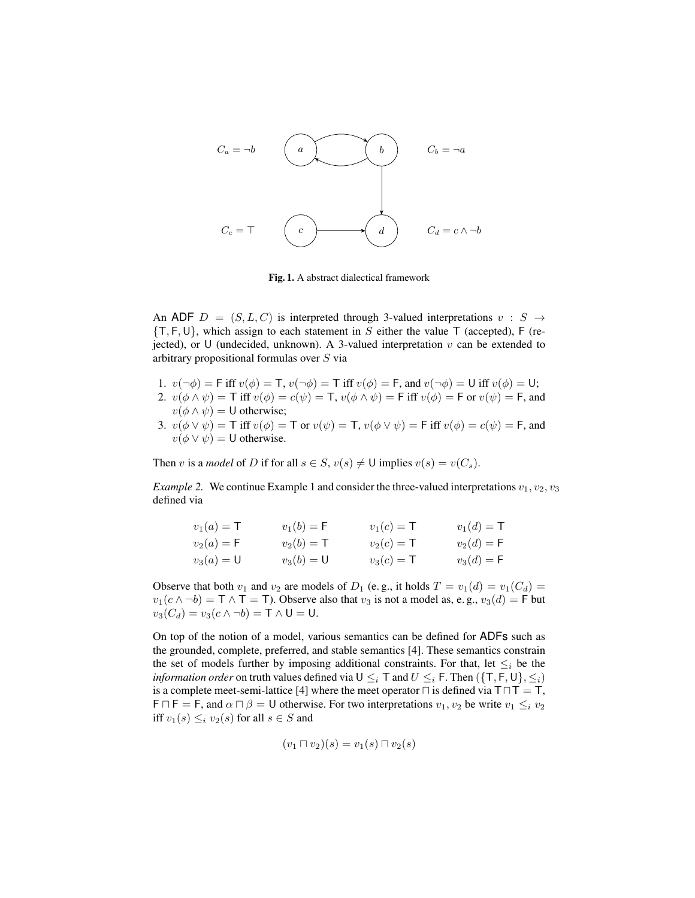$$
C_a = \neg b
$$
\n
$$
C_b = \neg a
$$
\n
$$
C_c = \top
$$
\n
$$
C \qquad \qquad C_b = \neg a
$$
\n
$$
C = \top
$$
\n
$$
C = \top
$$
\n
$$
C = \top
$$
\n
$$
C = \top
$$

Fig. 1. A abstract dialectical framework

An ADF  $D = (S, L, C)$  is interpreted through 3-valued interpretations  $v : S \rightarrow$  ${T, F, U}$ , which assign to each statement in S either the value T (accepted), F (rejected), or U (undecided, unknown). A 3-valued interpretation  $v$  can be extended to arbitrary propositional formulas over S via

- 1.  $v(\neg \phi) = \text{F iff } v(\phi) = \text{T}, v(\neg \phi) = \text{T iff } v(\phi) = \text{F}, \text{ and } v(\neg \phi) = \text{U iff } v(\phi) = \text{U};$
- 2.  $v(\phi \wedge \psi) = \mathsf{T}$  iff  $v(\phi) = c(\psi) = \mathsf{T}$ ,  $v(\phi \wedge \psi) = \mathsf{F}$  iff  $v(\phi) = \mathsf{F}$  or  $v(\psi) = \mathsf{F}$ , and  $v(\phi \wedge \psi) = \mathsf{U}$  otherwise;
- 3.  $v(\phi \vee \psi) = \mathsf{T}$  iff  $v(\phi) = \mathsf{T}$  or  $v(\psi) = \mathsf{T}$ ,  $v(\phi \vee \psi) = \mathsf{F}$  iff  $v(\phi) = c(\psi) = \mathsf{F}$ , and  $v(\phi \vee \psi) = \mathsf{U}$  otherwise.

Then v is a *model* of D if for all  $s \in S$ ,  $v(s) \neq \mathsf{U}$  implies  $v(s) = v(C_s)$ .

*Example 2.* We continue Example 1 and consider the three-valued interpretations  $v_1, v_2, v_3$ defined via

| $v_1(a) = T$ | $v_1(b) = F$ | $v_1(c) = T$ | $v_1(d) = T$          |
|--------------|--------------|--------------|-----------------------|
| $v_2(a) = F$ | $v_2(b) = T$ | $v_2(c) = T$ | $v_2(d) = \mathsf{F}$ |
| $v_3(a) = 0$ | $v_3(b) = U$ | $v_3(c) = T$ | $v_3(d) = F$          |

Observe that both  $v_1$  and  $v_2$  are models of  $D_1$  (e.g., it holds  $T = v_1(d) = v_1(C_d)$  $v_1(c \wedge \neg b) = \top \wedge \top = \top$ ). Observe also that  $v_3$  is not a model as, e.g.,  $v_3(d) = \top$  but  $v_3(C_d) = v_3(c \wedge \neg b) = \mathsf{T} \wedge \mathsf{U} = \mathsf{U}.$ 

On top of the notion of a model, various semantics can be defined for ADFs such as the grounded, complete, preferred, and stable semantics [4]. These semantics constrain the set of models further by imposing additional constraints. For that, let  $\leq_i$  be the *information order* on truth values defined via  $U \leq i$  T and  $U \leq i$  F. Then  $({T, F, U}, \leq i)$ is a complete meet-semi-lattice [4] where the meet operator  $\sqcap$  is defined via  $T \sqcap T = T$ ,  $F \cap F = F$ , and  $\alpha \cap \beta = U$  otherwise. For two interpretations  $v_1, v_2$  be write  $v_1 \leq_i v_2$ iff  $v_1(s) \leq_i v_2(s)$  for all  $s \in S$  and

$$
(v_1 \sqcap v_2)(s) = v_1(s) \sqcap v_2(s)
$$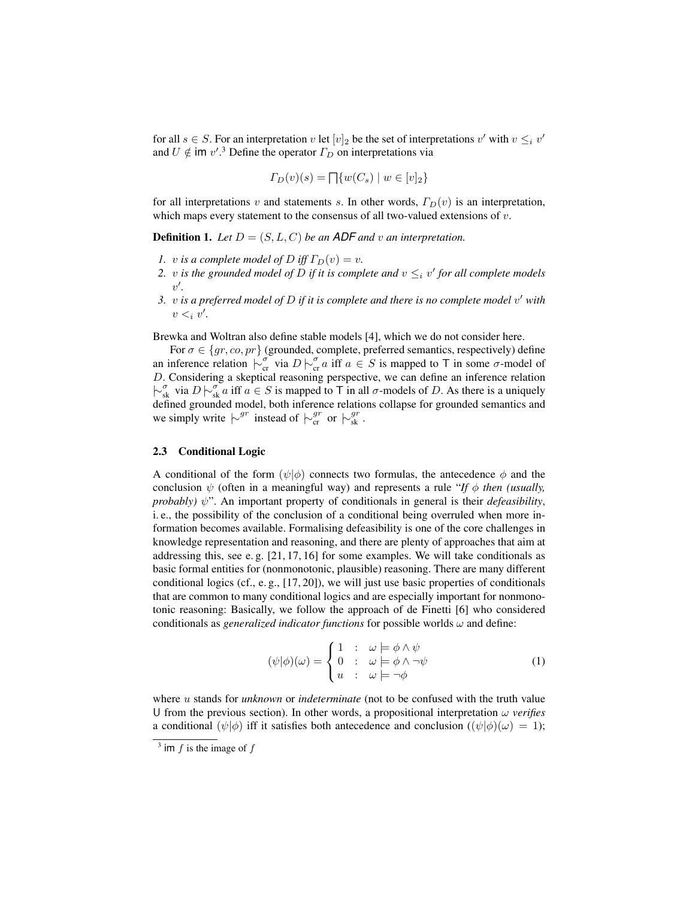for all  $s \in S$ . For an interpretation v let  $[v]_2$  be the set of interpretations v' with  $v \leq_i v'$ and  $U \notin \text{im } v'.^3$  Define the operator  $\Gamma_D$  on interpretations via

$$
\Gamma_D(v)(s) = \prod \{ w(C_s) \mid w \in [v]_2 \}
$$

for all interpretations v and statements s. In other words,  $\Gamma_D(v)$  is an interpretation, which maps every statement to the consensus of all two-valued extensions of  $v$ .

**Definition 1.** Let  $D = (S, L, C)$  be an ADF and v an interpretation.

- *1.* v *is a complete model of* D *iff*  $\Gamma_D(v) = v$ .
- 2. v is the grounded model of D if it is complete and  $v \leq_i v'$  for all complete models v 0 *.*
- *3.* v *is a preferred model of* D *if it is complete and there is no complete model* v <sup>0</sup> *with*  $v <_i v'$ .

Brewka and Woltran also define stable models [4], which we do not consider here.

For  $\sigma \in \{gr, co, pr\}$  (grounded, complete, preferred semantics, respectively) define an inference relation  $\overline{\rhd}_{cr}^{\sigma}$  via  $D \rhd_{cr}^{\sigma} a$  iff  $a \in S$  is mapped to T in some  $\sigma$ -model of D. Considering a skeptical reasoning perspective, we can define an inference relation  $\overline{\rhd_{sk}^{\sigma}}$  via  $D \rhd_{sk}^{\sigma} a$  iff  $a \in S$  is mapped to T in all  $\sigma$ -models of D. As there is a uniquely defined grounded model, both inference relations collapse for grounded semantics and we simply write  $\vert \sim^{gr}$  instead of  $\vert \sim^{gr}_{cr}$  or  $\vert \sim^{gr}_{sk}$ .

### 2.3 Conditional Logic

A conditional of the form  $(\psi|\phi)$  connects two formulas, the antecedence  $\phi$  and the conclusion  $\psi$  (often in a meaningful way) and represents a rule "*If*  $\phi$  *then (usually, probably*)  $\psi$ ". An important property of conditionals in general is their *defeasibility*, i. e., the possibility of the conclusion of a conditional being overruled when more information becomes available. Formalising defeasibility is one of the core challenges in knowledge representation and reasoning, and there are plenty of approaches that aim at addressing this, see e. g. [21, 17, 16] for some examples. We will take conditionals as basic formal entities for (nonmonotonic, plausible) reasoning. There are many different conditional logics (cf., e.g.,  $[17, 20]$ ), we will just use basic properties of conditionals that are common to many conditional logics and are especially important for nonmonotonic reasoning: Basically, we follow the approach of de Finetti [6] who considered conditionals as *generalized indicator functions* for possible worlds  $\omega$  and define:

$$
(\psi|\phi)(\omega) = \begin{cases} 1 & \colon & \omega \models \phi \land \psi \\ 0 & \colon & \omega \models \phi \land \neg \psi \\ u & \colon & \omega \models \neg \phi \end{cases} \tag{1}
$$

where u stands for *unknown* or *indeterminate* (not to be confused with the truth value U from the previous section). In other words, a propositional interpretation  $\omega$  *verifies* a conditional  $(\psi|\phi)$  iff it satisfies both antecedence and conclusion  $((\psi|\phi)(\omega) = 1)$ ;

 $3$  im f is the image of f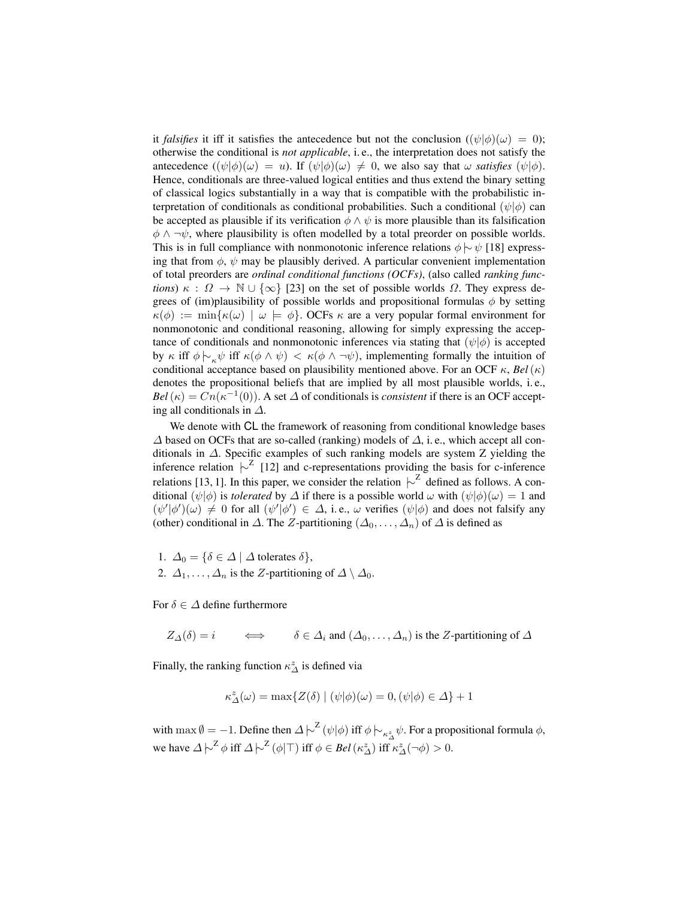it *falsifies* it iff it satisfies the antecedence but not the conclusion  $((\psi|\phi)(\omega) = 0)$ ; otherwise the conditional is *not applicable*, i. e., the interpretation does not satisfy the antecedence  $((\psi|\phi)(\omega) = u)$ . If  $(\psi|\phi)(\omega) \neq 0$ , we also say that  $\omega$  *satisfies*  $(\psi|\phi)$ . Hence, conditionals are three-valued logical entities and thus extend the binary setting of classical logics substantially in a way that is compatible with the probabilistic interpretation of conditionals as conditional probabilities. Such a conditional  $(\psi|\phi)$  can be accepted as plausible if its verification  $\phi \wedge \psi$  is more plausible than its falsification  $\phi \land \neg \psi$ , where plausibility is often modelled by a total preorder on possible worlds. This is in full compliance with nonmonotonic inference relations  $\phi \sim \psi$  [18] expressing that from  $\phi$ ,  $\psi$  may be plausibly derived. A particular convenient implementation of total preorders are *ordinal conditional functions (OCFs)*, (also called *ranking functions*)  $\kappa$ :  $\Omega \to \mathbb{N} \cup {\infty}$  [23] on the set of possible worlds  $\Omega$ . They express degrees of (im)plausibility of possible worlds and propositional formulas  $\phi$  by setting  $\kappa(\phi) := \min{\kappa(\omega) \mid \omega \models \phi}$ . OCFs  $\kappa$  are a very popular formal environment for nonmonotonic and conditional reasoning, allowing for simply expressing the acceptance of conditionals and nonmonotonic inferences via stating that  $(\psi|\phi)$  is accepted by κ iff  $\phi \vdash_{\kappa} \psi$  iff  $\kappa(\phi \land \psi) < \kappa(\phi \land \neg \psi)$ , implementing formally the intuition of conditional acceptance based on plausibility mentioned above. For an OCF  $\kappa$ , *Bel*( $\kappa$ ) denotes the propositional beliefs that are implied by all most plausible worlds, i. e.,  $Bel(\kappa) = Cn(\kappa^{-1}(0)).$  A set  $\Delta$  of conditionals is *consistent* if there is an OCF accepting all conditionals in ∆.

We denote with CL the framework of reasoning from conditional knowledge bases  $\Delta$  based on OCFs that are so-called (ranking) models of  $\Delta$ , i.e., which accept all conditionals in ∆. Specific examples of such ranking models are system Z yielding the inference relation  $\vert \sim^Z$  [12] and c-representations providing the basis for c-inference relations [13, 1]. In this paper, we consider the relation  $\vert \sim^Z$  defined as follows. A conditional  $(\psi|\phi)$  is *tolerated* by  $\Delta$  if there is a possible world  $\omega$  with  $(\psi|\phi)(\omega) = 1$  and  $(\psi'|\phi')(\omega) \neq 0$  for all  $(\psi'|\phi') \in \Delta$ , i.e.,  $\omega$  verifies  $(\psi|\phi)$  and does not falsify any (other) conditional in  $\Delta$ . The Z-partitioning  $(\Delta_0, \ldots, \Delta_n)$  of  $\Delta$  is defined as

1.  $\Delta_0 = {\delta \in \Delta \mid \Delta \text{ tolerates } \delta},$ 2.  $\Delta_1, \ldots, \Delta_n$  is the Z-partitioning of  $\Delta \setminus \Delta_0$ .

For  $\delta \in \Delta$  define furthermore

 $Z_{\Delta}(\delta) = i \qquad \Longleftrightarrow \qquad \delta \in \Delta_i$  and  $(\Delta_0, \ldots, \Delta_n)$  is the Z-partitioning of  $\Delta$ 

Finally, the ranking function  $\kappa_{\Delta}^{z}$  is defined via

$$
\kappa_{\Delta}^{z}(\omega) = \max\{Z(\delta) \mid (\psi|\phi)(\omega) = 0, (\psi|\phi) \in \Delta\} + 1
$$

with  $\max \emptyset = -1$ . Define then  $\Delta \models^{\mathcal{Z}} (\psi | \phi)$  iff  $\phi \models_{\kappa_{\Delta}^{\mathcal{Z}}} \psi$ . For a propositional formula  $\phi$ , we have  $\Delta \left| \sim^{\mathbb{Z}} \phi \text{ iff } \Delta \left| \sim^{\mathbb{Z}} (\phi | \top) \text{ iff } \phi \in Bel(\kappa_{\Delta}^{z}) \text{ iff } \kappa_{\Delta}^{z}(\neg \phi) > 0.$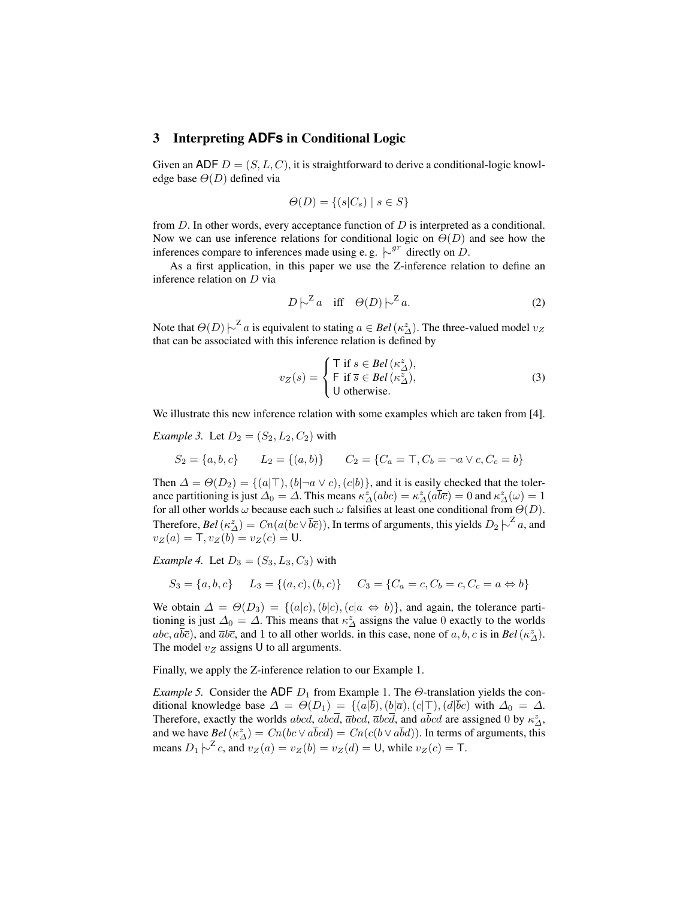# 3 Interpreting **ADFs** in Conditional Logic

Given an ADF  $D = (S, L, C)$ , it is straightforward to derive a conditional-logic knowledge base  $\Theta(D)$  defined via

$$
\Theta(D) = \{(s|C_s) \mid s \in S\}
$$

from  $D$ . In other words, every acceptance function of  $D$  is interpreted as a conditional. Now we can use inference relations for conditional logic on  $\Theta(D)$  and see how the inferences compare to inferences made using e.g.  $\sim^{gr}$  directly on D.

As a first application, in this paper we use the Z-inference relation to define an inference relation on D via

$$
D \sim^Z a \quad \text{iff} \quad \Theta(D) \sim^Z a. \tag{2}
$$

Note that  $\Theta(D) \sim^Z a$  is equivalent to stating  $a \in Bel(\kappa^z_\Delta)$ . The three-valued model  $v_Z$ that can be associated with this inference relation is defined by

$$
v_Z(s) = \begin{cases} \n\mathsf{T} \text{ if } s \in Bel(\kappa^z_\Delta), \\ \n\mathsf{F} \text{ if } \overline{s} \in Bel(\kappa^z_\Delta), \\ \n\mathsf{U} \text{ otherwise.} \n\end{cases} \tag{3}
$$

We illustrate this new inference relation with some examples which are taken from [4].

*Example 3.* Let  $D_2 = (S_2, L_2, C_2)$  with

$$
S_2 = \{a, b, c\} \qquad L_2 = \{(a, b)\} \qquad C_2 = \{C_a = \top, C_b = \neg a \lor c, C_c = b\}
$$

Then  $\Delta = \Theta(D_2) = \{(a|\top), (b|\neg a \lor c), (c|b)\}\)$ , and it is easily checked that the tolerance partitioning is just  $\Delta_0 = \Delta$ . This means  $\kappa^z_\Delta(abc) = \kappa^z_\Delta(a\overline{b}\overline{c}) = 0$  and  $\kappa^z_\Delta(\omega) = 1$ for all other worlds  $\omega$  because each such  $\omega$  falsifies at least one conditional from  $\Theta(D)$ . Therefore,  $Bel(\kappa^z_\Delta)=Cn(a(bc\vee\overline{b}\overline{c}))$ , In terms of arguments, this yields  $D_2\big\backslash^Z a$ , and  $v_Z(a) = T$ ,  $v_Z(b) = v_Z(c) = U$ .

*Example 4.* Let  $D_3 = (S_3, L_3, C_3)$  with

$$
S_3 = \{a, b, c\} \qquad L_3 = \{(a, c), (b, c)\} \qquad C_3 = \{C_a = c, C_b = c, C_c = a \Leftrightarrow b\}
$$

We obtain  $\Delta = \Theta(D_3) = \{(a|c), (b|c), (c|a \Leftrightarrow b)\}\)$ , and again, the tolerance partitioning is just  $\Delta_0 = \Delta$ . This means that  $\kappa^z_\Delta$  assigns the value 0 exactly to the worlds  $abc$ ,  $a\overline{b}\overline{c}$ ), and  $\overline{a}b\overline{c}$ , and 1 to all other worlds. in this case, none of  $a, b, c$  is in  $Bel(\kappa_{\Delta}^z)$ . The model  $v_Z$  assigns U to all arguments.

Finally, we apply the Z-inference relation to our Example 1.

*Example 5.* Consider the ADF  $D_1$  from Example 1. The  $\Theta$ -translation yields the conditional knowledge base  $\Delta = \Theta(D_1) = \{(a|\overline{b}), (b|\overline{a}), (c|\overline{b}), (d|\overline{b}c) \text{ with } \Delta_0 = \Delta. \}$ Therefore, exactly the worlds  $abcd$ ,  $abcd$ ,  $\overline{a}bcd$ ,  $\overline{a}bcd$ ,  $\overline{a}bcd$  are assigned 0 by  $\kappa_{\Delta}^{z}$ , and we have  $Bel(\kappa_{\Delta}^z) = Cn(bc \vee a\bar{b}cd) = Cn(c(b \vee a\bar{b}d))$ . In terms of arguments, this means  $D_1 \left\| \right\|^2 c$ , and  $v_Z(a) = v_Z(b) = v_Z(d) = U$ , while  $v_Z(c) = T$ .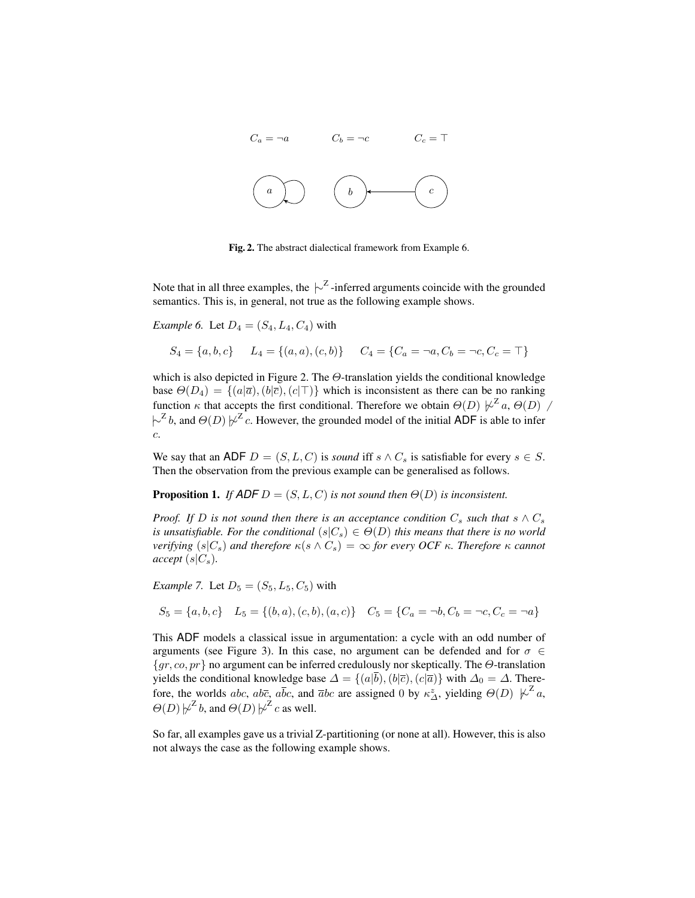

Fig. 2. The abstract dialectical framework from Example 6.

Note that in all three examples, the  $\sim^Z$ -inferred arguments coincide with the grounded semantics. This is, in general, not true as the following example shows.

*Example 6.* Let  $D_4 = (S_4, L_4, C_4)$  with

$$
S_4 = \{a, b, c\} \qquad L_4 = \{(a, a), (c, b)\} \qquad C_4 = \{C_a = \neg a, C_b = \neg c, C_c = \top\}
$$

which is also depicted in Figure 2. The  $\Theta$ -translation yields the conditional knowledge base  $\Theta(D_4) = \{ (a|\overline{a}), (b|\overline{c}), (c|\overline{c}) \}$  which is inconsistent as there can be no ranking function  $\kappa$  that accepts the first conditional. Therefore we obtain  $\Theta(D) \not\sim^{\mathbb{Z}} a$ ,  $\Theta(D)$  $\left[\sim^{\mathcal{Z}} b$ , and  $\Theta(D) \not\!\downarrow^{\mathcal{Z}} c$ . However, the grounded model of the initial ADF is able to infer c.

We say that an ADF  $D = (S, L, C)$  is *sound* iff  $s \wedge C_s$  is satisfiable for every  $s \in S$ . Then the observation from the previous example can be generalised as follows.

## **Proposition 1.** *If*  $ADF D = (S, L, C)$  *is not sound then*  $\Theta(D)$  *is inconsistent.*

*Proof. If* D is not sound then there is an acceptance condition  $C_s$  *such that*  $s \wedge C_s$ *is unsatisfiable. For the conditional*  $(s|C_s) \in \Theta(D)$  *this means that there is no world verifying*  $(s|C_s)$  *and therefore*  $\kappa(s \wedge C_s) = \infty$  *for every OCF*  $\kappa$ *. Therefore*  $\kappa$  *cannot*  $accept(s|C_s)$ .

*Example 7.* Let  $D_5 = (S_5, L_5, C_5)$  with

$$
S_5 = \{a, b, c\} \quad L_5 = \{(b, a), (c, b), (a, c)\} \quad C_5 = \{C_a = \neg b, C_b = \neg c, C_c = \neg a\}
$$

This ADF models a classical issue in argumentation: a cycle with an odd number of arguments (see Figure 3). In this case, no argument can be defended and for  $\sigma \in$  ${gr, co, pr}$  no argument can be inferred credulously nor skeptically. The  $\Theta$ -translation yields the conditional knowledge base  $\Delta = \{(a|\overline{b}), (b|\overline{c}), (c|\overline{a})\}$  with  $\Delta_0 = \Delta$ . Therefore, the worlds abc, ab $\bar{c}_2$  a $\bar{b}c$ , and  $\bar{a}bc$  are assigned 0 by  $\kappa_{\Delta}^z$ , yielding  $\Theta(D) \not\sim^Z a$ ,  $\Theta(D) \not\sim^{\mathbb{Z}} b$ , and  $\Theta(D) \not\sim^{\mathbb{Z}} c$  as well.

So far, all examples gave us a trivial Z-partitioning (or none at all). However, this is also not always the case as the following example shows.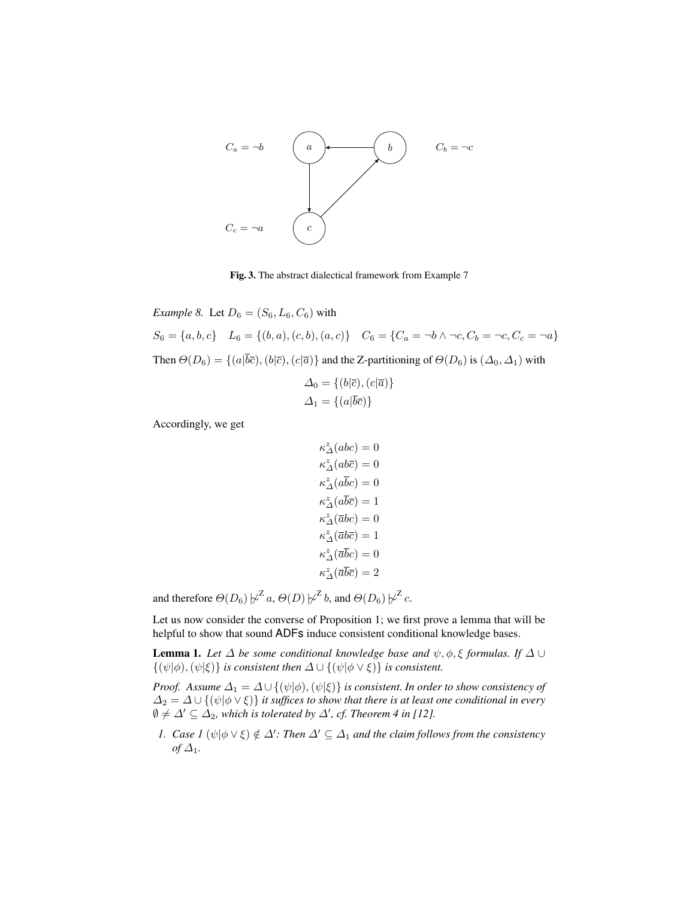

Fig. 3. The abstract dialectical framework from Example 7

*Example 8.* Let  $D_6 = (S_6, L_6, C_6)$  with  $S_6 = \{a, b, c\}$   $L_6 = \{(b, a), (c, b), (a, c)\}$   $C_6 = \{C_a = \neg b \land \neg c, C_b = \neg c, C_c = \neg a\}$ Then  $\Theta(D_6) = \{(a|\overline{b}\overline{c}), (b|\overline{c}), (c|\overline{a})\}$  and the Z-partitioning of  $\Theta(D_6)$  is  $(\Delta_0, \Delta_1)$  with

$$
\Delta_0 = \{ (b|\overline{c}), (c|\overline{a}) \}
$$
  

$$
\Delta_1 = \{ (a|\overline{b}\overline{c}) \}
$$

Accordingly, we get

$$
\begin{split} \kappa_{\varDelta}^{z}(abc)&=0\\ \kappa_{\varDelta}^{z}(ab\overline{c})&=0\\ \kappa_{\varDelta}^{z}(a\overline{b}c)&=0\\ \kappa_{\varDelta}^{z}(\overline{a}\overline{b}\overline{c})&=1\\ \kappa_{\varDelta}^{z}(\overline{a}b\overline{c})&=1\\ \kappa_{\varDelta}^{z}(\overline{a}\overline{b}\overline{c})&=0\\ \kappa_{\varDelta}^{z}(\overline{a}\overline{b}\overline{c})&=2\\ \end{split}
$$

and therefore  $\Theta(D_6)\not\!\sim^{\mathcal{Z}}\! a, \Theta(D)\not\!\sim^{\mathcal{Z}}\! b,$  and  $\Theta(D_6)\not\!\sim^{\mathcal{Z}}\! c.$ 

Let us now consider the converse of Proposition 1; we first prove a lemma that will be helpful to show that sound ADFs induce consistent conditional knowledge bases.

**Lemma 1.** *Let*  $\Delta$  *be some conditional knowledge base and*  $\psi$ ,  $\phi$ ,  $\xi$  *formulas. If*  $\Delta \cup$  $\{\psi|\phi,(\psi|\xi)\}\$ is consistent then  $\Delta \cup \{\psi|\phi \vee \xi)\}\$ is consistent.

*Proof. Assume*  $\Delta_1 = \Delta \cup \{(\psi|\phi), (\psi|\xi)\}$  *is consistent. In order to show consistency of*  $\Delta_2 = \Delta \cup \{(\psi | \phi \vee \xi)\}\$ it suffices to show that there is at least one conditional in every  $\emptyset \neq \Delta' \subseteq \Delta_2$ , which is tolerated by  $\Delta'$ , cf. Theorem 4 in [12].

*1. Case 1* ( $\psi | \phi \vee \xi$ )  $\notin \Delta'$ : *Then*  $\Delta' \subseteq \Delta_1$  *and the claim follows from the consistency*  $of \Delta_1$ *.*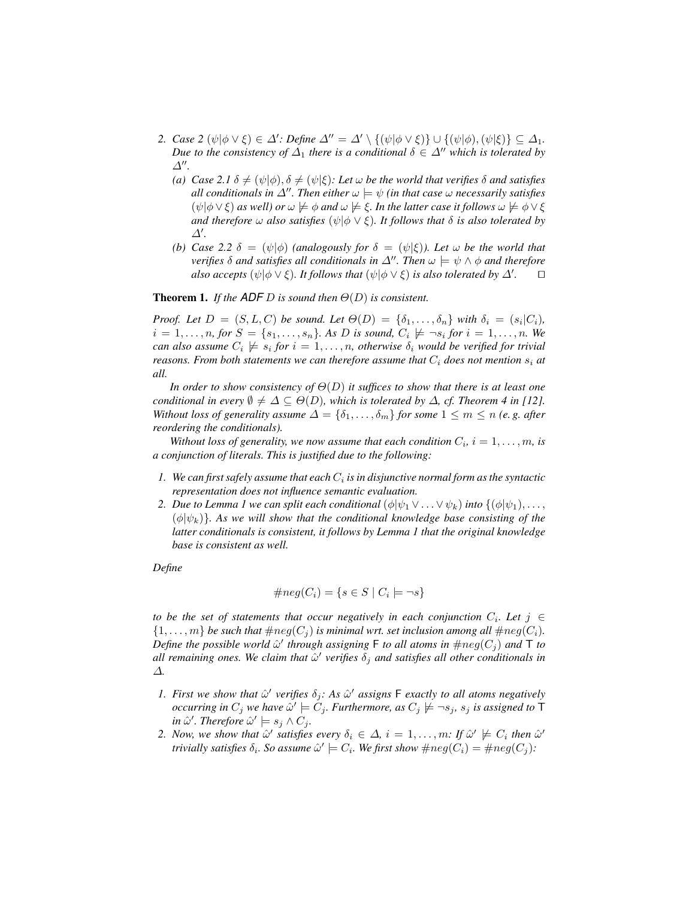- 2. *Case* 2  $(\psi | \phi \lor \xi) \in \Delta'$ : *Define*  $\Delta'' = \Delta' \setminus \{(\psi | \phi \lor \xi)\} \cup \{(\psi | \phi), (\psi | \xi)\} \subseteq \Delta_1$ . *Due to the consistency of*  $\Delta_1$  *there is a conditional*  $\delta \in \Delta^n$  *which is tolerated by*  $\Delta$ <sup>*n*</sup>.
	- *(a)*  $\text{Case 2.1 } \delta \neq (\psi | \phi), \delta \neq (\psi | \xi)$ *: Let*  $\omega$  *be the world that verifies*  $\delta$  *and satisfies all conditionals in*  $\Delta''$ . Then either  $\omega \models \psi$  *(in that case*  $\omega$  *necessarily satisfies*  $(\psi|\phi\vee\xi)$  *as well) or*  $\omega \not\models \phi$  *and*  $\omega \not\models \xi$ . In the latter case it follows  $\omega \not\models \phi \vee \xi$ *and therefore*  $\omega$  *also satisfies*  $(\psi | \phi \lor \xi)$ *. It follows that*  $\delta$  *is also tolerated by*  $\Delta'$ .
	- *(b) Case* 2.2  $\delta = (\psi|\phi)$  *(analogously for*  $\delta = (\psi|\xi)$ *). Let*  $\omega$  *be the world that verifies*  $\delta$  *and satisfies all conditionals in*  $\Delta''$ *. Then*  $\omega \models \psi \land \phi$  *and therefore also accepts* ( $\psi | \phi \vee \xi$ )*. It follows that* ( $\psi | \phi \vee \xi$ ) *is also tolerated by*  $\Delta'$ *.*  $\Box$

**Theorem 1.** *If the ADF D is sound then*  $\Theta(D)$  *is consistent.* 

*Proof.* Let  $D = (S, L, C)$  be sound. Let  $\Theta(D) = \{\delta_1, \ldots, \delta_n\}$  with  $\delta_i = (s_i | C_i)$ ,  $i = 1, \ldots, n$ , for  $S = \{s_1, \ldots, s_n\}$ . As D is sound,  $C_i \not\models \neg s_i$  for  $i = 1, \ldots, n$ . We  $can$  also assume  $C_i \not\models s_i$  for  $i = 1, \ldots, n$ , otherwise  $\delta_i$  would be verified for trivial *reasons. From both statements we can therefore assume that*  $C_i$  *does not mention*  $s_i$  *at all.*

*In order to show consistency of* Θ(D) *it suffices to show that there is at least one conditional in every*  $\emptyset \neq \Delta \subseteq \Theta(D)$ *, which is tolerated by*  $\Delta$ *, cf. Theorem 4 in [12]. Without loss of generality assume*  $\Delta = {\delta_1, \ldots, \delta_m}$  *for some*  $1 \leq m \leq n$  *(e.g. after reordering the conditionals).*

Without loss of generality, we now assume that each condition  $C_i$ ,  $i = 1, \ldots, m$ , is *a conjunction of literals. This is justified due to the following:*

- $1. \,$  We can first safely assume that each  $C_i$  is in disjunctive normal form as the syntactic *representation does not influence semantic evaluation.*
- *2. Due to Lemma 1 we can split each conditional*  $(\phi | \psi_1 \vee ... \vee \psi_k)$  *into*  $\{(\phi | \psi_1), ...,$  $(\phi|\psi_k)$ *. As we will show that the conditional knowledge base consisting of the latter conditionals is consistent, it follows by Lemma 1 that the original knowledge base is consistent as well.*

*Define*

$$
\#neg(C_i) = \{ s \in S \mid C_i \models \neg s \}
$$

*to be the set of statements that occur negatively in each conjunction*  $C_i$ *. Let*  $j \in$  $\{1,\ldots,m\}$  *be such that*  $\#neg(C_i)$  *is minimal wrt. set inclusion among all*  $\#neg(C_i)$ *. Define the possible world*  $\hat{\omega}'$  through assigning F to all atoms in  $\#neg(C_j)$  and T to all remaining ones. We claim that  $\hat{\omega}'$  verifies  $\delta_j$  and satisfies all other conditionals in ∆*.*

- *1. First we show that*  $\hat{\omega}'$  verifies  $\delta_j$ : As  $\hat{\omega}'$  assigns F exactly to all atoms negatively  $occurring$  in  $C_j$  we have  $\hat{\omega}' \models C_j$ . Furthermore, as  $C_j \not\models \neg s_j$ ,  $s_j$  is assigned to  $\mathsf T$  $\mathsf{in} \ \hat{\omega}'$ . Therefore  $\hat{\omega}' \models s_j \land C_j$ .
- 2. *Now, we show that*  $\hat{\omega}'$  *satisfies every*  $\delta_i \in \Delta$ ,  $i = 1, \ldots, m$ : If  $\hat{\omega}' \not\models C_i$  then  $\hat{\omega}'$ *trivially satisfies*  $\delta_i$ *. So assume*  $\hat{\omega}' \models C_i$ *. We first show*  $\#neg(C_i) = \#neg(C_j)$ *:*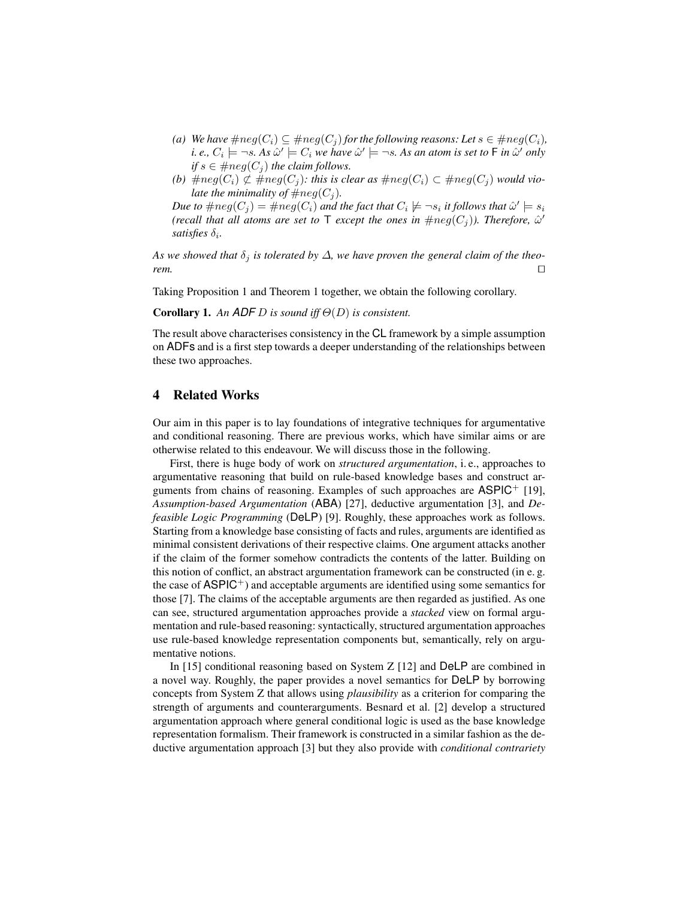- *(a) We have*  $\#neg(C_i) \subseteq \#neg(C_j)$  *for the following reasons: Let*  $s \in \#neg(C_i)$ *, i. e.,*  $C_i \models \neg s$ *. As*  $\hat{\omega}' \models C_i$  *we have*  $\hat{\omega}' \models \neg s$ *. As an atom is set to*  $\sf F$  *in*  $\hat{\omega}'$  *only if*  $s \in \#neg(C_i)$  *the claim follows.*
- (b)  $\#neg(C_i) \not\subset \#neg(C_j)$ : this is clear as  $\#neg(C_i) \subset \#neg(C_i)$  would vio*late the minimality of*  $\#neg(C_i)$ *.*

Due to  $\#neg(C_j) = \#neg(C_i)$  and the fact that  $C_i \not\models \neg s_i$  it follows that  $\hat{\omega}' \models s_i$ *(recall that all atoms are set to*  $\mathsf T$  *except the ones in*  $\#neg(C_j)$ *). Therefore,*  $\hat{\omega}'$  $satisfies  $\delta_i$ .$ 

As we showed that  $\delta_i$  is tolerated by  $\Delta$ , we have proven the general claim of the theo $r$ *rem.*  $\Box$ 

Taking Proposition 1 and Theorem 1 together, we obtain the following corollary.

Corollary 1. *An ADF* D *is sound iff* Θ(D) *is consistent.*

The result above characterises consistency in the CL framework by a simple assumption on ADFs and is a first step towards a deeper understanding of the relationships between these two approaches.

# 4 Related Works

Our aim in this paper is to lay foundations of integrative techniques for argumentative and conditional reasoning. There are previous works, which have similar aims or are otherwise related to this endeavour. We will discuss those in the following.

First, there is huge body of work on *structured argumentation*, i. e., approaches to argumentative reasoning that build on rule-based knowledge bases and construct arguments from chains of reasoning. Examples of such approaches are  $\mathsf{ASPIC}^+$  [19], *Assumption-based Argumentation* (ABA) [27], deductive argumentation [3], and *Defeasible Logic Programming* (DeLP) [9]. Roughly, these approaches work as follows. Starting from a knowledge base consisting of facts and rules, arguments are identified as minimal consistent derivations of their respective claims. One argument attacks another if the claim of the former somehow contradicts the contents of the latter. Building on this notion of conflict, an abstract argumentation framework can be constructed (in e. g. the case of  $\text{ASPIC}^+$ ) and acceptable arguments are identified using some semantics for those [7]. The claims of the acceptable arguments are then regarded as justified. As one can see, structured argumentation approaches provide a *stacked* view on formal argumentation and rule-based reasoning: syntactically, structured argumentation approaches use rule-based knowledge representation components but, semantically, rely on argumentative notions.

In [15] conditional reasoning based on System Z [12] and DeLP are combined in a novel way. Roughly, the paper provides a novel semantics for DeLP by borrowing concepts from System Z that allows using *plausibility* as a criterion for comparing the strength of arguments and counterarguments. Besnard et al. [2] develop a structured argumentation approach where general conditional logic is used as the base knowledge representation formalism. Their framework is constructed in a similar fashion as the deductive argumentation approach [3] but they also provide with *conditional contrariety*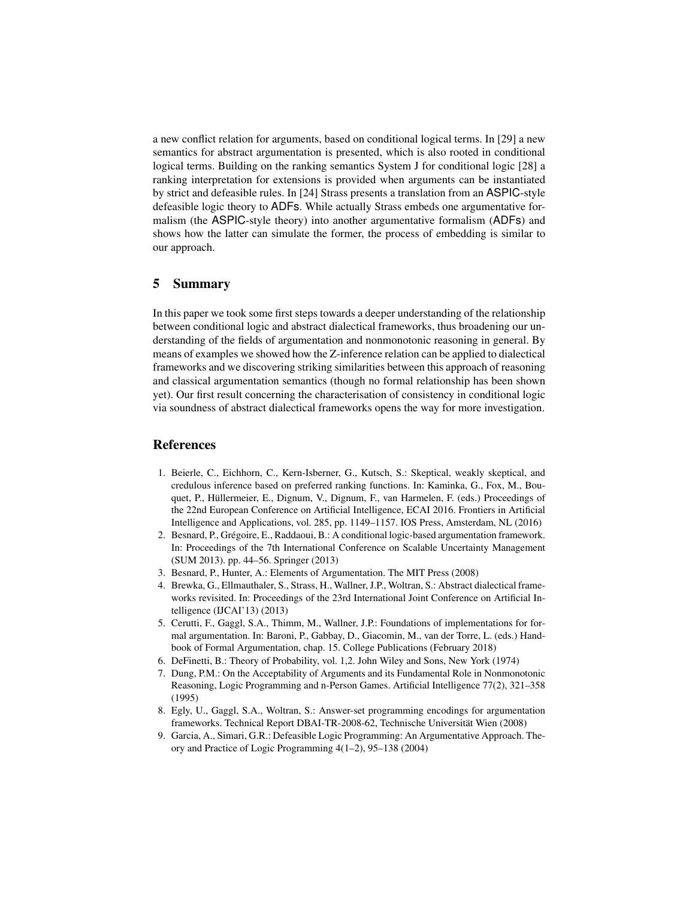a new conflict relation for arguments, based on conditional logical terms. In [29] a new semantics for abstract argumentation is presented, which is also rooted in conditional logical terms. Building on the ranking semantics System J for conditional logic [28] a ranking interpretation for extensions is provided when arguments can be instantiated by strict and defeasible rules. In [24] Strass presents a translation from an ASPIC-style defeasible logic theory to ADFs. While actually Strass embeds one argumentative formalism (the ASPIC-style theory) into another argumentative formalism (ADFs) and shows how the latter can simulate the former, the process of embedding is similar to our approach.

### 5 Summary

In this paper we took some first steps towards a deeper understanding of the relationship between conditional logic and abstract dialectical frameworks, thus broadening our understanding of the fields of argumentation and nonmonotonic reasoning in general. By means of examples we showed how the Z-inference relation can be applied to dialectical frameworks and we discovering striking similarities between this approach of reasoning and classical argumentation semantics (though no formal relationship has been shown yet). Our first result concerning the characterisation of consistency in conditional logic via soundness of abstract dialectical frameworks opens the way for more investigation.

# References

- 1. Beierle, C., Eichhorn, C., Kern-Isberner, G., Kutsch, S.: Skeptical, weakly skeptical, and credulous inference based on preferred ranking functions. In: Kaminka, G., Fox, M., Bouquet, P., Hüllermeier, E., Dignum, V., Dignum, F., van Harmelen, F. (eds.) Proceedings of the 22nd European Conference on Artificial Intelligence, ECAI 2016. Frontiers in Artificial Intelligence and Applications, vol. 285, pp. 1149–1157. IOS Press, Amsterdam, NL (2016)
- 2. Besnard, P., Gregoire, E., Raddaoui, B.: A conditional logic-based argumentation framework. ´ In: Proceedings of the 7th International Conference on Scalable Uncertainty Management (SUM 2013). pp. 44–56. Springer (2013)
- 3. Besnard, P., Hunter, A.: Elements of Argumentation. The MIT Press (2008)
- 4. Brewka, G., Ellmauthaler, S., Strass, H., Wallner, J.P., Woltran, S.: Abstract dialectical frameworks revisited. In: Proceedings of the 23rd International Joint Conference on Artificial Intelligence (IJCAI'13) (2013)
- 5. Cerutti, F., Gaggl, S.A., Thimm, M., Wallner, J.P.: Foundations of implementations for formal argumentation. In: Baroni, P., Gabbay, D., Giacomin, M., van der Torre, L. (eds.) Handbook of Formal Argumentation, chap. 15. College Publications (February 2018)
- 6. DeFinetti, B.: Theory of Probability, vol. 1,2. John Wiley and Sons, New York (1974)
- 7. Dung, P.M.: On the Acceptability of Arguments and its Fundamental Role in Nonmonotonic Reasoning, Logic Programming and n-Person Games. Artificial Intelligence 77(2), 321–358 (1995)
- 8. Egly, U., Gaggl, S.A., Woltran, S.: Answer-set programming encodings for argumentation frameworks. Technical Report DBAI-TR-2008-62, Technische Universität Wien (2008)
- 9. Garcia, A., Simari, G.R.: Defeasible Logic Programming: An Argumentative Approach. Theory and Practice of Logic Programming 4(1–2), 95–138 (2004)